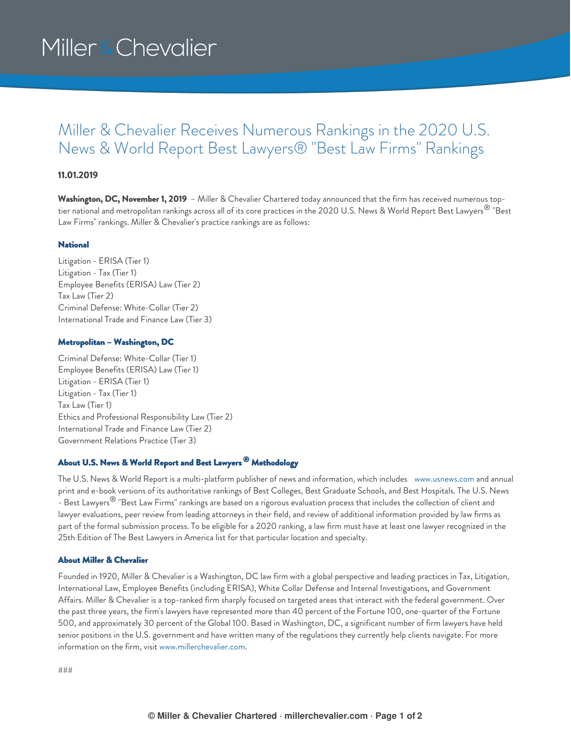# Miller & Chevalier

## Miller & Chevalier Receives Numerous Rankings in the 2020 U.S. News & World Report Best Lawyers® "Best Law Firms" Rankings

### **11.01.2019**

**Washington, DC, November 1, 2019** – Miller & Chevalier Chartered today announced that the firm has received numerous toptier national and metropolitan rankings across all of its core practices in the 2020 U.S. News & World Report Best Lawyers $^\circledR$  "Best Law Firms" rankings. Miller & Chevalier's practice rankings are as follows:

#### **National**

Litigation - ERISA (Tier 1) Litigation - Tax (Tier 1) Employee Benefits (ERISA) Law (Tier 2) Tax Law (Tier 2) Criminal Defense: White-Collar (Tier 2) International Trade and Finance Law (Tier 3)

#### Metropolitan – Washington, DC

Criminal Defense: White-Collar (Tier 1) Employee Benefits (ERISA) Law (Tier 1) Litigation - ERISA (Tier 1) Litigation - Tax (Tier 1) Tax Law (Tier 1) Ethics and Professional Responsibility Law (Tier 2) International Trade and Finance Law (Tier 2) Government Relations Practice (Tier 3)

### About U.S. News & World Report and Best Lawyers <sup>®</sup> Methodology

The U.S. News & World Report is a multi-platform publisher of news and information, which includes [www.usnews.com](http://www.usnews.com) and annual print and e-book versions of its authoritative rankings of Best Colleges, Best Graduate Schools, and Best Hospitals. The U.S. News - Best Lawyers $^\circledR$  "Best Law Firms" rankings are based on a rigorous evaluation process that includes the collection of client and lawyer evaluations, peer review from leading attorneys in their field, and review of additional information provided by law firms as part of the formal submission process. To be eligible for a 2020 ranking, a law firm must have at least one lawyer recognized in the 25th Edition of The Best Lawyers in America list for that particular location and specialty.

#### About Miller & Chevalier

Founded in 1920, Miller & Chevalier is a Washington, DC law firm with a global perspective and leading practices in Tax, Litigation, International Law, Employee Benefits (including ERISA), White Collar Defense and Internal Investigations, and Government Affairs. Miller & Chevalier is a top-ranked firm sharply focused on targeted areas that interact with the federal government. Over the past three years, the firm's lawyers have represented more than 40 percent of the Fortune 100, one-quarter of the Fortune 500, and approximately 30 percent of the Global 100. Based in Washington, DC, a significant number of firm lawyers have held senior positions in the U.S. government and have written many of the regulations they currently help clients navigate. For more information on the firm, visit [www.millerchevalier.com](http://www.millerchevalier.com).

###